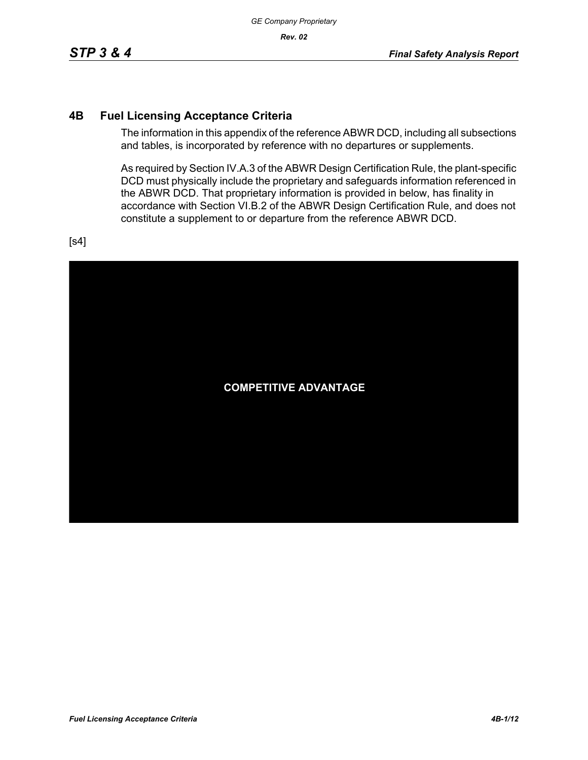## **4B Fuel Licensing Acceptance Criteria**

The information in this appendix of the reference ABWR DCD, including all subsections and tables, is incorporated by reference with no departures or supplements.

As required by Section IV.A.3 of the ABWR Design Certification Rule, the plant-specific DCD must physically include the proprietary and safeguards information referenced in the ABWR DCD. That proprietary information is provided in below, has finality in accordance with Section VI.B.2 of the ABWR Design Certification Rule, and does not constitute a supplement to or departure from the reference ABWR DCD.

[s4]

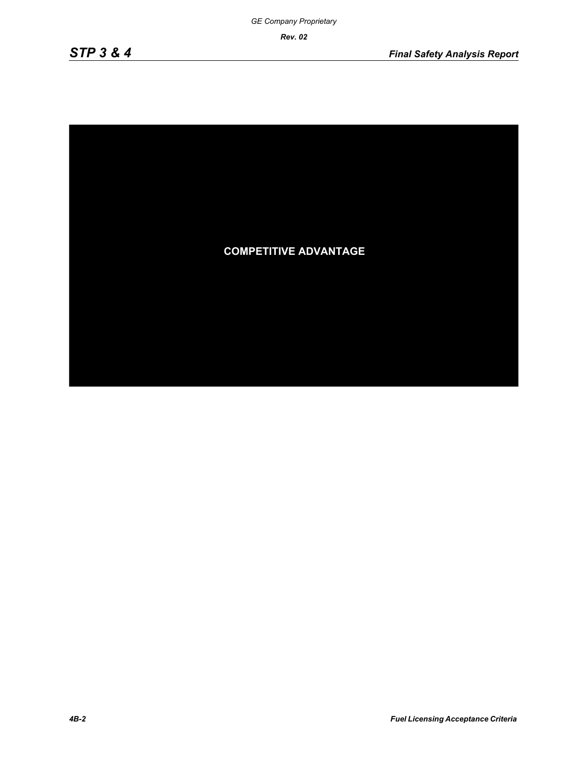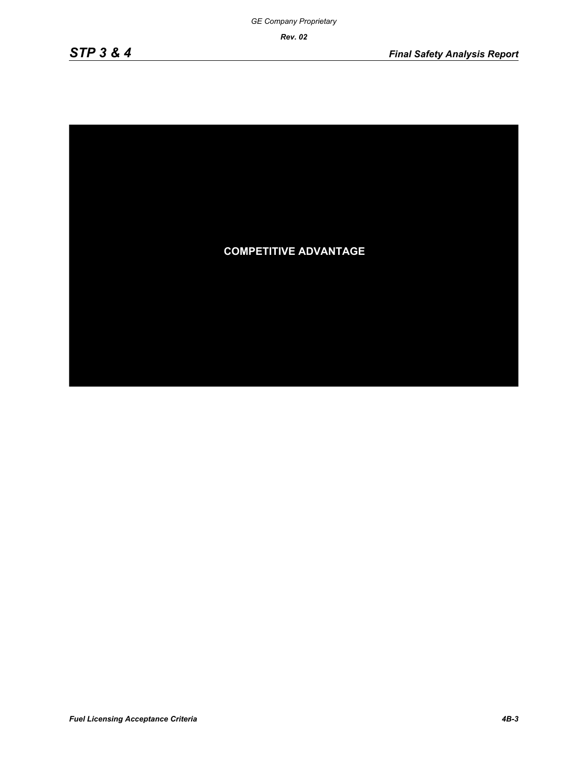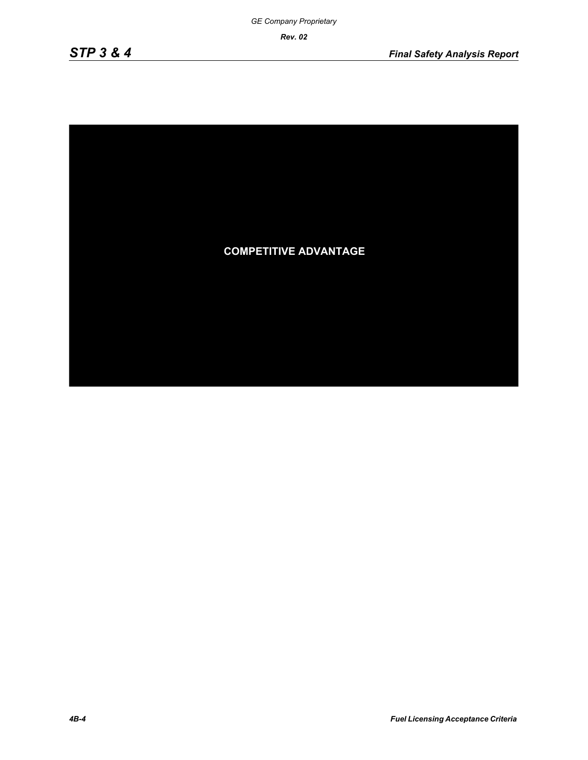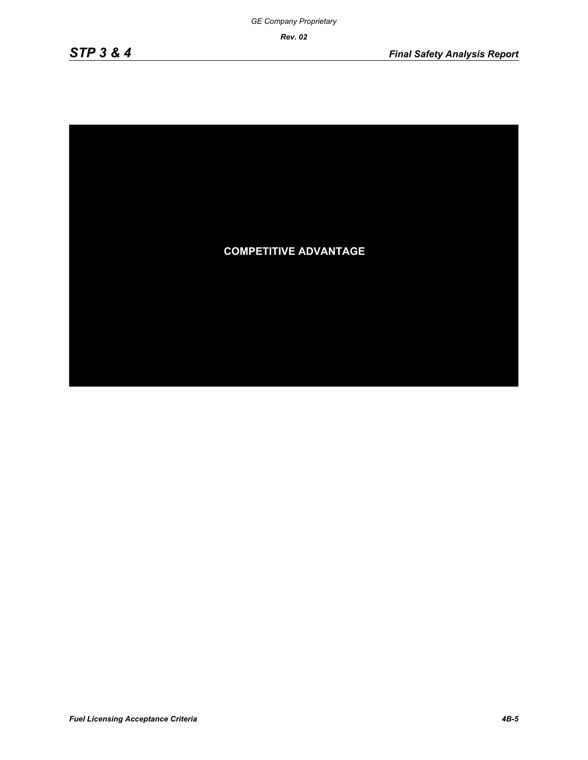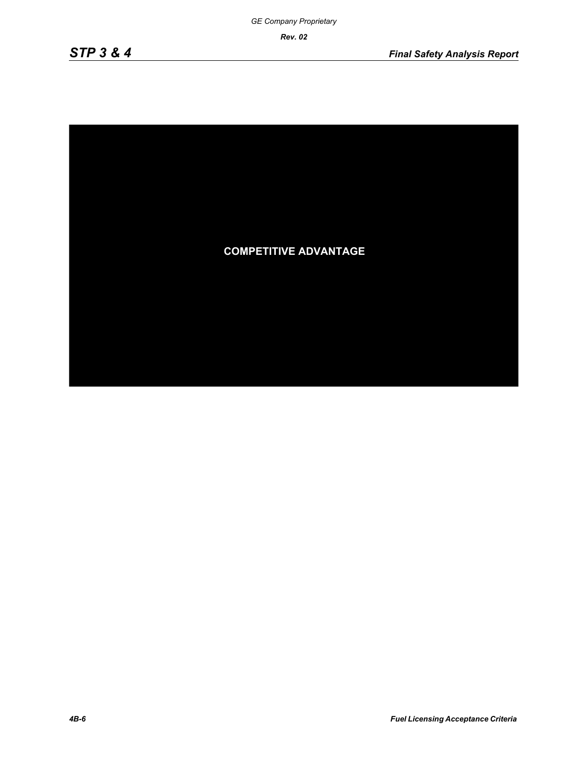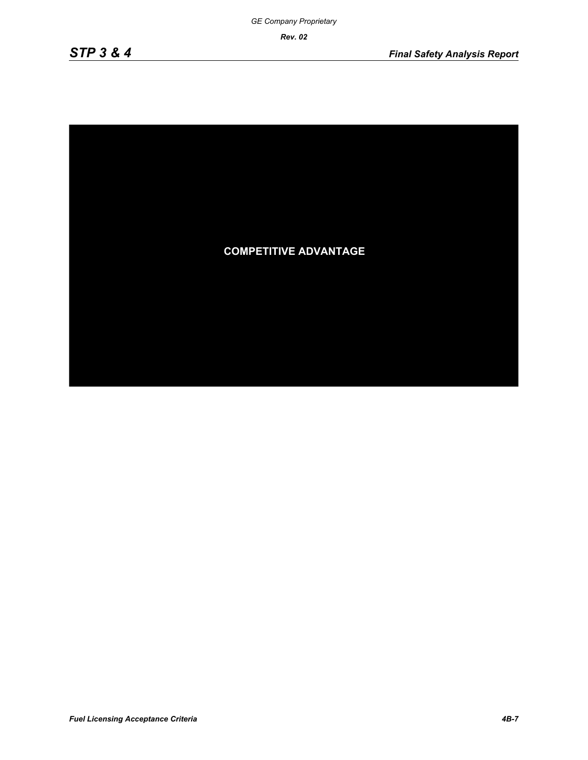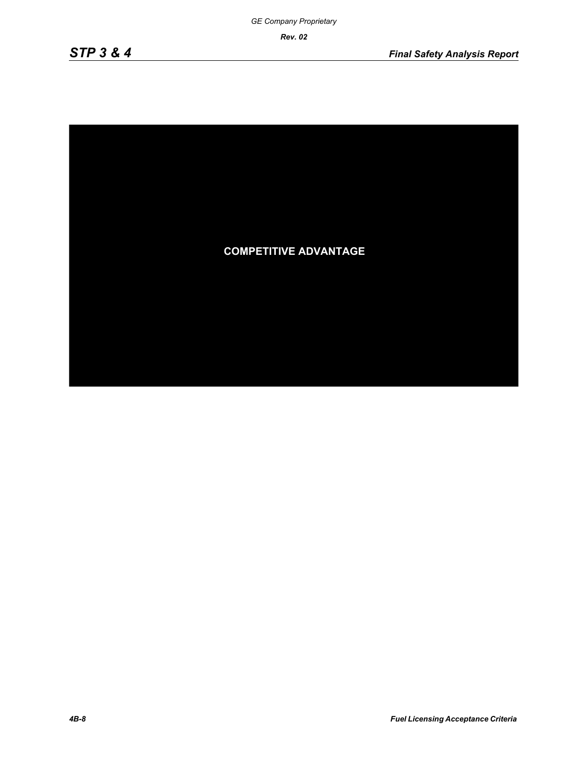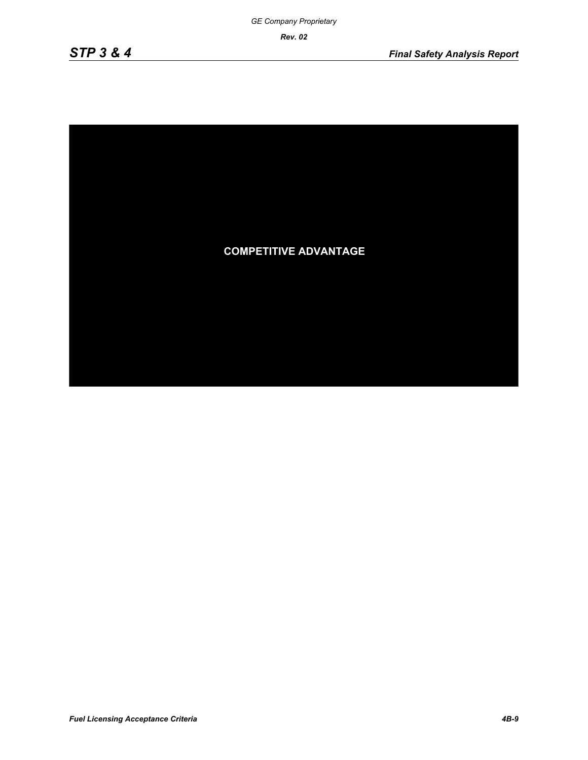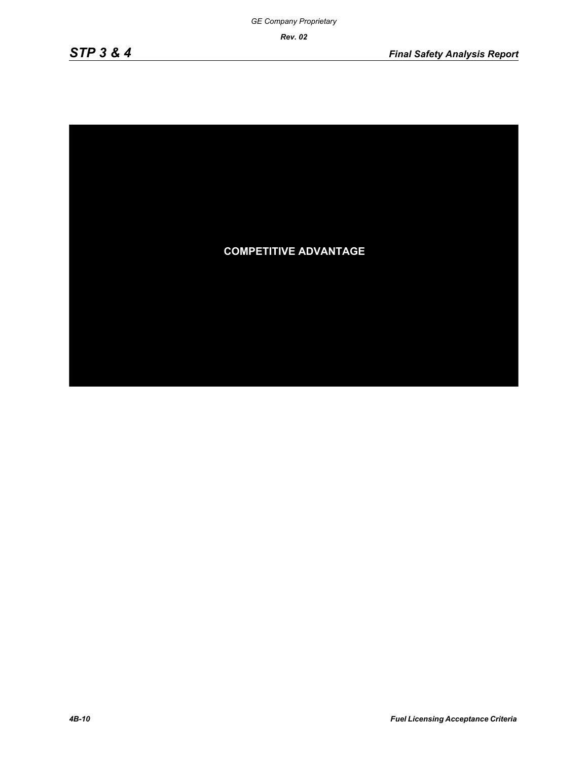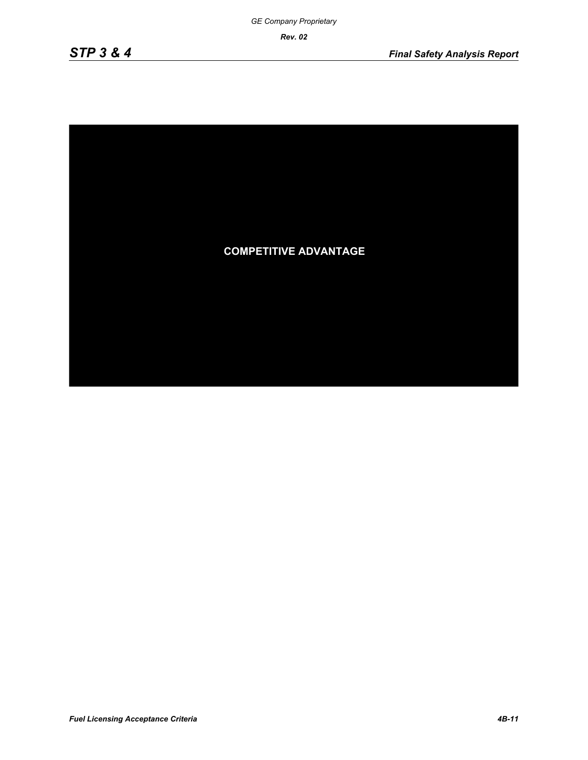